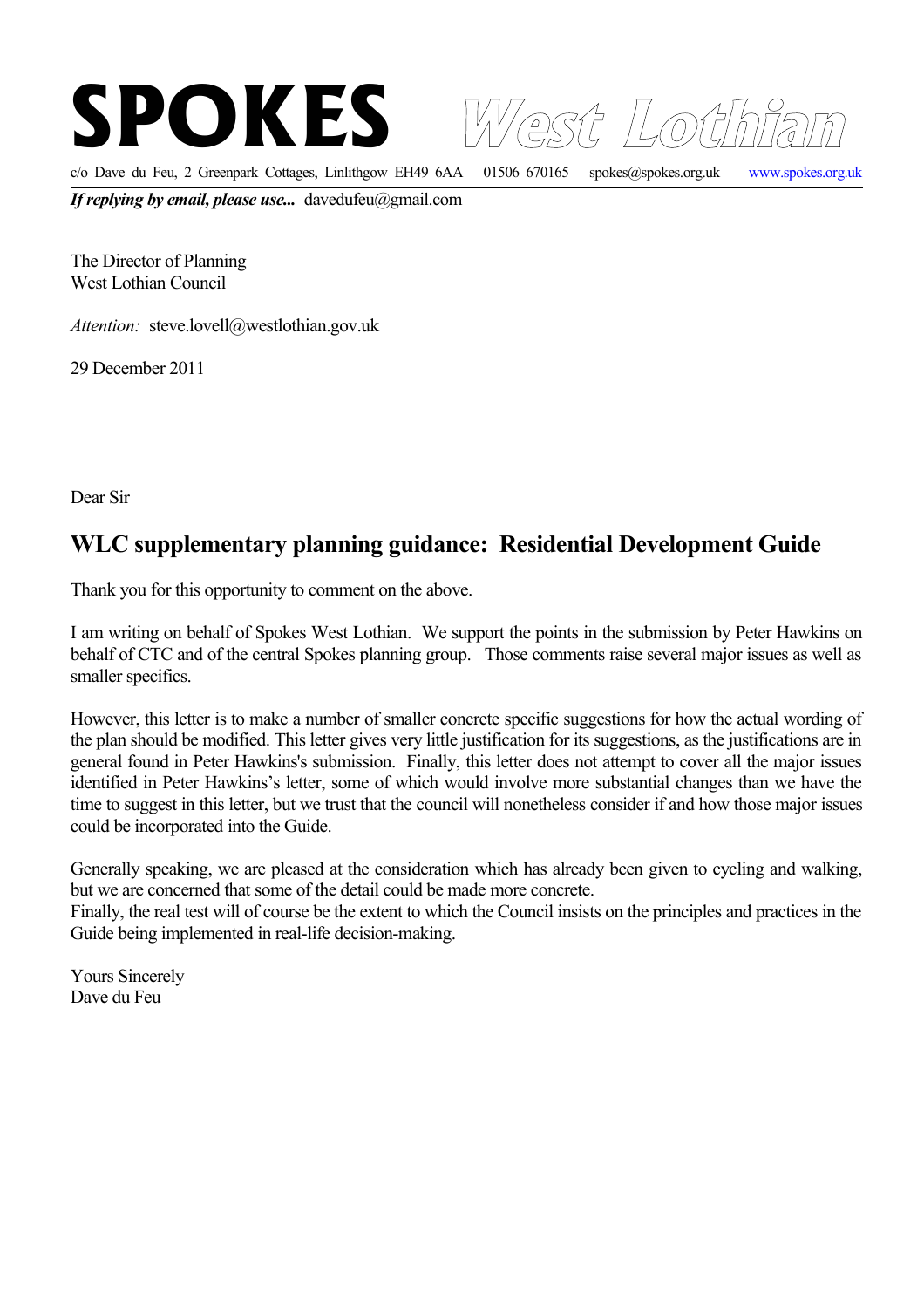

*Attention:* steve.lovell@westlothian.gov.uk

29 December 2011

Dear Sir

## **WLC supplementary planning guidance: Residential Development Guide**

Thank you for this opportunity to comment on the above.

I am writing on behalf of Spokes West Lothian. We support the points in the submission by Peter Hawkins on behalf of CTC and of the central Spokes planning group. Those comments raise several major issues as well as smaller specifics.

However, this letter is to make a number of smaller concrete specific suggestions for how the actual wording of the plan should be modified. This letter gives very little justification for its suggestions, as the justifications are in general found in Peter Hawkins's submission. Finally, this letter does not attempt to cover all the major issues identified in Peter Hawkins's letter, some of which would involve more substantial changes than we have the time to suggest in this letter, but we trust that the council will nonetheless consider if and how those major issues could be incorporated into the Guide.

Generally speaking, we are pleased at the consideration which has already been given to cycling and walking, but we are concerned that some of the detail could be made more concrete.

Finally, the real test will of course be the extent to which the Council insists on the principles and practices in the Guide being implemented in real-life decision-making.

Yours Sincerely Dave du Feu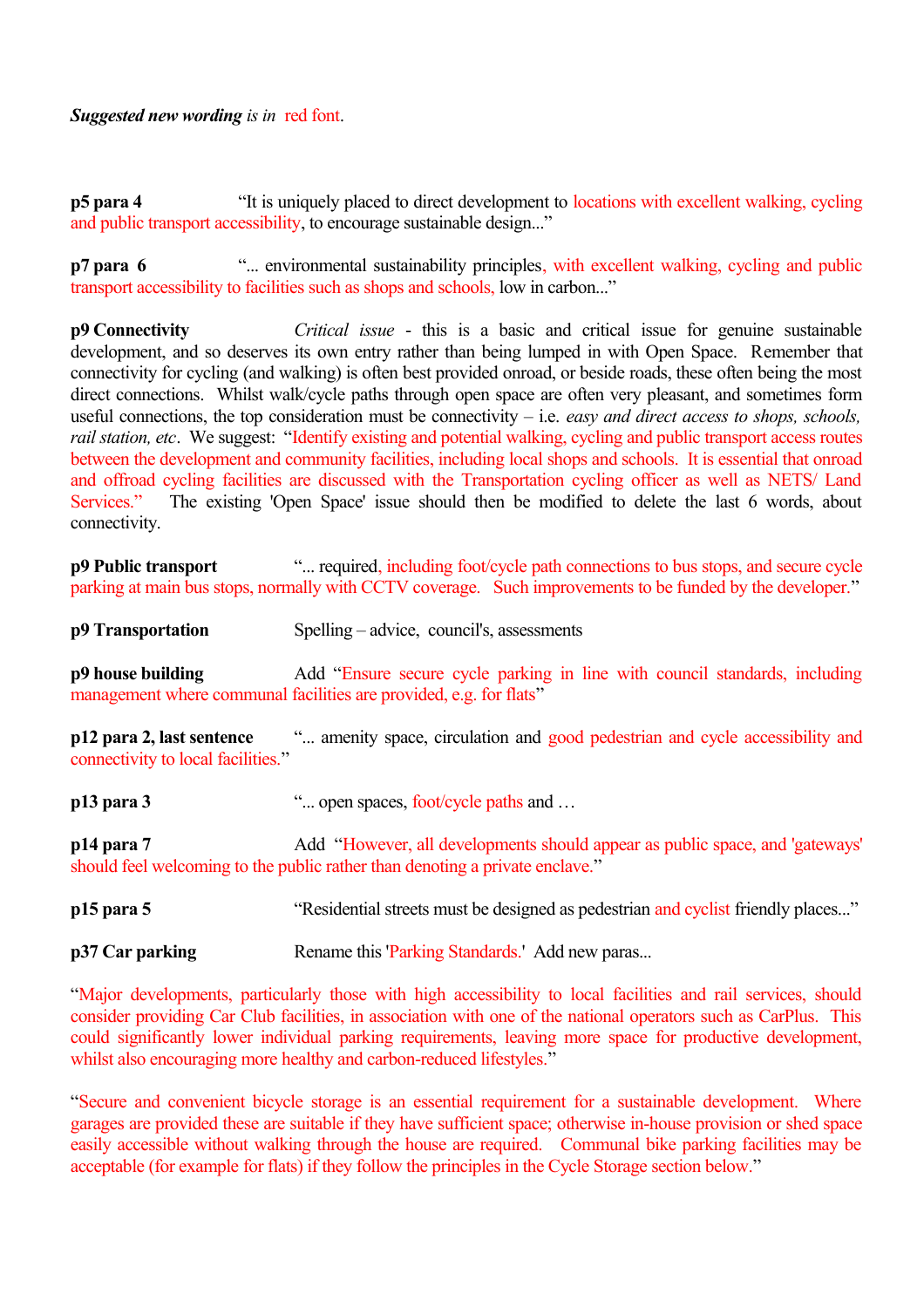**p5 para 4** "It is uniquely placed to direct development to locations with excellent walking, cycling and public transport accessibility, to encourage sustainable design..."

**p7 para 6** "... environmental sustainability principles, with excellent walking, cycling and public transport accessibility to facilities such as shops and schools, low in carbon..."

**p9 Connectivity** *Critical issue* - this is a basic and critical issue for genuine sustainable development, and so deserves its own entry rather than being lumped in with Open Space. Remember that connectivity for cycling (and walking) is often best provided onroad, or beside roads, these often being the most direct connections. Whilst walk/cycle paths through open space are often very pleasant, and sometimes form useful connections, the top consideration must be connectivity – i.e. *easy and direct access to shops, schools, rail station, etc*. We suggest: "Identify existing and potential walking, cycling and public transport access routes between the development and community facilities, including local shops and schools. It is essential that onroad and offroad cycling facilities are discussed with the Transportation cycling officer as well as NETS/ Land Services." The existing 'Open Space' issue should then be modified to delete the last 6 words, about connectivity.

**p9 Public transport** "... required, including foot/cycle path connections to bus stops, and secure cycle parking at main bus stops, normally with CCTV coverage. Such improvements to be funded by the developer."

**p9 Transportation** Spelling – advice, council's, assessments

**p9 house building** Add "Ensure secure cycle parking in line with council standards, including management where communal facilities are provided, e.g. for flats"

**p12 para 2, last sentence** "... amenity space, circulation and good pedestrian and cycle accessibility and connectivity to local facilities."

**p13 para 3** "... open spaces, foot/cycle paths and ...

**p14 para 7** Add "However, all developments should appear as public space, and 'gateways' should feel welcoming to the public rather than denoting a private enclave."

**p15 para 5** "Residential streets must be designed as pedestrian and cyclist friendly places..."

**p37 Car parking** Rename this 'Parking Standards.' Add new paras...

"Major developments, particularly those with high accessibility to local facilities and rail services, should consider providing Car Club facilities, in association with one of the national operators such as CarPlus. This could significantly lower individual parking requirements, leaving more space for productive development, whilst also encouraging more healthy and carbon-reduced lifestyles."

"Secure and convenient bicycle storage is an essential requirement for a sustainable development. Where garages are provided these are suitable if they have sufficient space; otherwise in-house provision or shed space easily accessible without walking through the house are required. Communal bike parking facilities may be acceptable (for example for flats) if they follow the principles in the Cycle Storage section below."